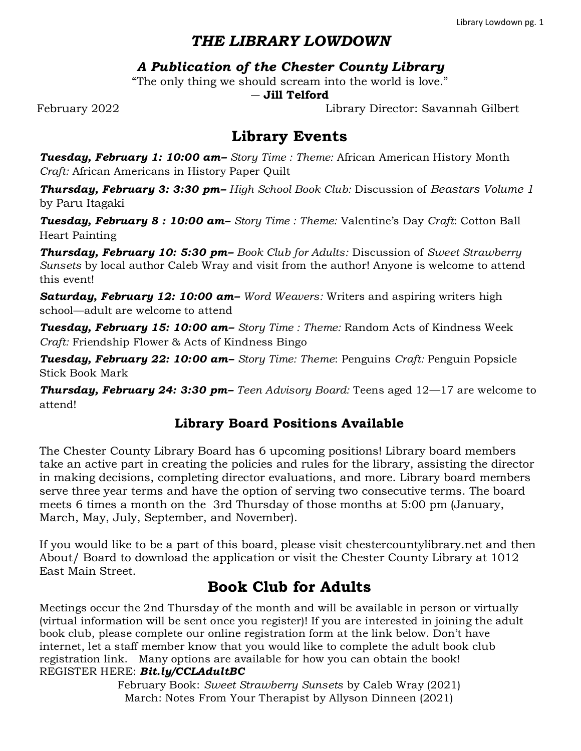## *THE LIBRARY LOWDOWN*

## *A Publication of the Chester County Library*

"The only thing we should scream into the world is love."

#### ― **Jill Telford**

February 2022 Library Director: Savannah Gilbert

# **Library Events**

*Tuesday, February 1: 10:00 am– Story Time : Theme:* African American History Month *Craft:* African Americans in History Paper Quilt

*Thursday, February 3: 3:30 pm– High School Book Club:* Discussion of *Beastars Volume 1*  by Paru Itagaki

*Tuesday, February 8 : 10:00 am– Story Time : Theme:* Valentine's Day *Craft*: Cotton Ball Heart Painting

*Thursday, February 10: 5:30 pm– Book Club for Adults:* Discussion of *Sweet Strawberry Sunsets* by local author Caleb Wray and visit from the author! Anyone is welcome to attend this event!

**Saturday, February 12: 10:00 am**– *Word Weavers:* Writers and aspiring writers high school—adult are welcome to attend

*Tuesday, February 15: 10:00 am– Story Time : Theme:* Random Acts of Kindness Week *Craft:* Friendship Flower & Acts of Kindness Bingo

*Tuesday, February 22: 10:00 am– Story Time: Theme*: Penguins *Craft:* Penguin Popsicle Stick Book Mark

*Thursday, February 24: 3:30 pm– Teen Advisory Board:* Teens aged 12—17 are welcome to attend!

### **Library Board Positions Available**

The Chester County Library Board has 6 upcoming positions! Library board members take an active part in creating the policies and rules for the library, assisting the director in making decisions, completing director evaluations, and more. Library board members serve three year terms and have the option of serving two consecutive terms. The board meets 6 times a month on the 3rd Thursday of those months at 5:00 pm (January, March, May, July, September, and November).

If you would like to be a part of this board, please visit chestercountylibrary.net and then About/ Board to download the application or visit the Chester County Library at 1012 East Main Street.

# **Book Club for Adults**

Meetings occur the 2nd Thursday of the month and will be available in person or virtually (virtual information will be sent once you register)! If you are interested in joining the adult book club, please complete our online registration form at the link below. Don't have internet, let a staff member know that you would like to complete the adult book club registration link. Many options are available for how you can obtain the book! REGISTER HERE: *Bit.ly/CCLAdultBC*

> February Book: *Sweet Strawberry Sunsets* by Caleb Wray (2021) March: Notes From Your Therapist by Allyson Dinneen (2021)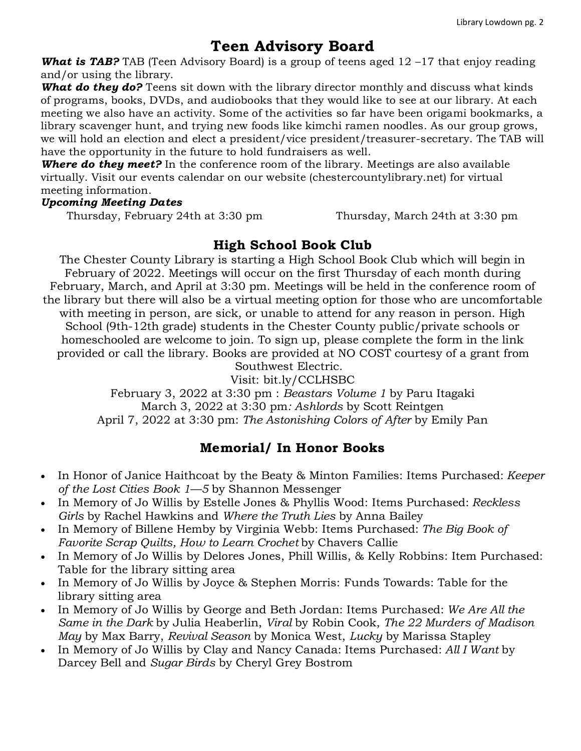### **Teen Advisory Board**

*What is TAB?* TAB (Teen Advisory Board) is a group of teens aged 12 –17 that enjoy reading and/or using the library.

*What do they do?* Teens sit down with the library director monthly and discuss what kinds of programs, books, DVDs, and audiobooks that they would like to see at our library. At each meeting we also have an activity. Some of the activities so far have been origami bookmarks, a library scavenger hunt, and trying new foods like kimchi ramen noodles. As our group grows, we will hold an election and elect a president/vice president/treasurer-secretary. The TAB will have the opportunity in the future to hold fundraisers as well.

**Where do they meet?** In the conference room of the library. Meetings are also available virtually. Visit our events calendar on our website (chestercountylibrary.net) for virtual meeting information.

#### *Upcoming Meeting Dates*

Thursday, February 24th at 3:30 pm Thursday, March 24th at 3:30 pm

### **High School Book Club**

The Chester County Library is starting a High School Book Club which will begin in February of 2022. Meetings will occur on the first Thursday of each month during February, March, and April at 3:30 pm. Meetings will be held in the conference room of the library but there will also be a virtual meeting option for those who are uncomfortable with meeting in person, are sick, or unable to attend for any reason in person. High School (9th-12th grade) students in the Chester County public/private schools or homeschooled are welcome to join. To sign up, please complete the form in the link provided or call the library. Books are provided at NO COST courtesy of a grant from

#### Southwest Electric.

Visit: bit.ly/CCLHSBC February 3, 2022 at 3:30 pm : *Beastars Volume 1* by Paru Itagaki March 3, 2022 at 3:30 pm*: Ashlords* by Scott Reintgen April 7, 2022 at 3:30 pm: *The Astonishing Colors of After* by Emily Pan

### **Memorial/ In Honor Books**

- In Honor of Janice Haithcoat by the Beaty & Minton Families: Items Purchased: *Keeper of the Lost Cities Book 1—5* by Shannon Messenger
- In Memory of Jo Willis by Estelle Jones & Phyllis Wood: Items Purchased: *Reckless Girls* by Rachel Hawkins and *Where the Truth Lies* by Anna Bailey
- In Memory of Billene Hemby by Virginia Webb: Items Purchased: *The Big Book of Favorite Scrap Quilts, How to Learn Crochet* by Chavers Callie
- In Memory of Jo Willis by Delores Jones, Phill Willis, & Kelly Robbins: Item Purchased: Table for the library sitting area
- In Memory of Jo Willis by Joyce & Stephen Morris: Funds Towards: Table for the library sitting area
- In Memory of Jo Willis by George and Beth Jordan: Items Purchased: *We Are All the Same in the Dark* by Julia Heaberlin, *Viral* by Robin Cook, *The 22 Murders of Madison May* by Max Barry, *Revival Season* by Monica West, *Lucky* by Marissa Stapley
- In Memory of Jo Willis by Clay and Nancy Canada: Items Purchased: *All I Want* by Darcey Bell and *Sugar Birds* by Cheryl Grey Bostrom